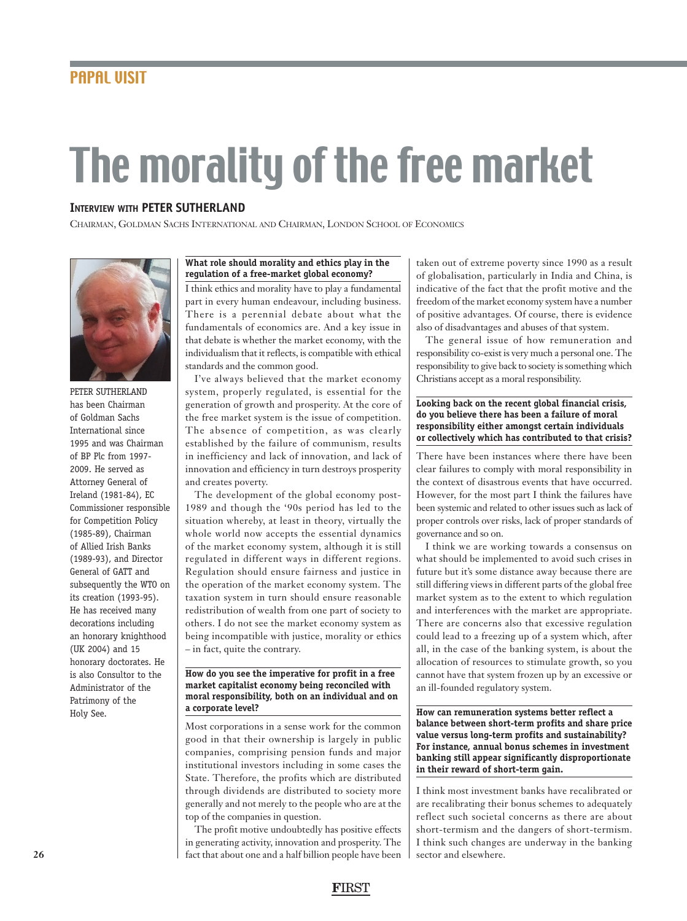# The morality of the free market

# **INTERVIEW WITH PETER SUTHERLAND**

CHAIRMAN, GOLDMAN SACHS INTERNATIONAL AND CHAIRMAN, LONDON SCHOOL OF ECONOMICS



PETER SUTHERLAND has been Chairman of Goldman Sachs International since 1995 and was Chairman of BP Plc from 1997- 2009. He served as Attorney General of Ireland (1981-84), EC Commissioner responsible for Competition Policy (1985-89), Chairman of Allied Irish Banks (1989-93), and Director General of GATT and subsequently the WTO on its creation (1993-95). He has received many decorations including an honorary knighthood (UK 2004) and 15 honorary doctorates. He is also Consultor to the Administrator of the Patrimony of the Holy See.

### **What role should morality and ethics play in the regulation of a free-market global economy?**

I think ethics and morality have to play a fundamental part in every human endeavour, including business. There is a perennial debate about what the fundamentals of economics are. And a key issue in that debate is whether the market economy, with the individualism that it reflects, is compatible with ethical standards and the common good.

I've always believed that the market economy system, properly regulated, is essential for the generation of growth and prosperity. At the core of the free market system is the issue of competition. The absence of competition, as was clearly established by the failure of communism, results in inefficiency and lack of innovation, and lack of innovation and efficiency in turn destroys prosperity and creates poverty.

The development of the global economy post-1989 and though the '90s period has led to the situation whereby, at least in theory, virtually the whole world now accepts the essential dynamics of the market economy system, although it is still regulated in different ways in different regions. Regulation should ensure fairness and justice in the operation of the market economy system. The taxation system in turn should ensure reasonable redistribution of wealth from one part of society to others. I do not see the market economy system as being incompatible with justice, morality or ethics – in fact, quite the contrary.

# **How do you see the imperative for profit in a free market capitalist economy being reconciled with moral responsibility, both on an individual and on a corporate level?**

Most corporations in a sense work for the common good in that their ownership is largely in public companies, comprising pension funds and major institutional investors including in some cases the State. Therefore, the profits which are distributed through dividends are distributed to society more generally and not merely to the people who are at the top of the companies in question.

The profit motive undoubtedly has positive effects in generating activity, innovation and prosperity. The fact that about one and a half billion people have been

taken out of extreme poverty since 1990 as a result of globalisation, particularly in India and China, is indicative of the fact that the profit motive and the freedom of the market economy system have a number of positive advantages. Of course, there is evidence also of disadvantages and abuses of that system.

The general issue of how remuneration and responsibility co-exist is very much a personal one. The responsibility to give back to society is something which Christians accept as a moral responsibility.

# **Looking back on the recent global financial crisis, do you believe there has been a failure of moral responsibility either amongst certain individuals or collectively which has contributed to that crisis?**

There have been instances where there have been clear failures to comply with moral responsibility in the context of disastrous events that have occurred. However, for the most part I think the failures have been systemic and related to other issues such as lack of proper controls over risks, lack of proper standards of governance and so on.

I think we are working towards a consensus on what should be implemented to avoid such crises in future but it's some distance away because there are still differing views in different parts of the global free market system as to the extent to which regulation and interferences with the market are appropriate. There are concerns also that excessive regulation could lead to a freezing up of a system which, after all, in the case of the banking system, is about the allocation of resources to stimulate growth, so you cannot have that system frozen up by an excessive or an ill-founded regulatory system.

**How can remuneration systems better reflect a balance between short-term profits and share price value versus long-term profits and sustainability? For instance, annual bonus schemes in investment banking still appear significantly disproportionate in their reward of short-term gain.**

I think most investment banks have recalibrated or are recalibrating their bonus schemes to adequately reflect such societal concerns as there are about short-termism and the dangers of short-termism. I think such changes are underway in the banking sector and elsewhere.